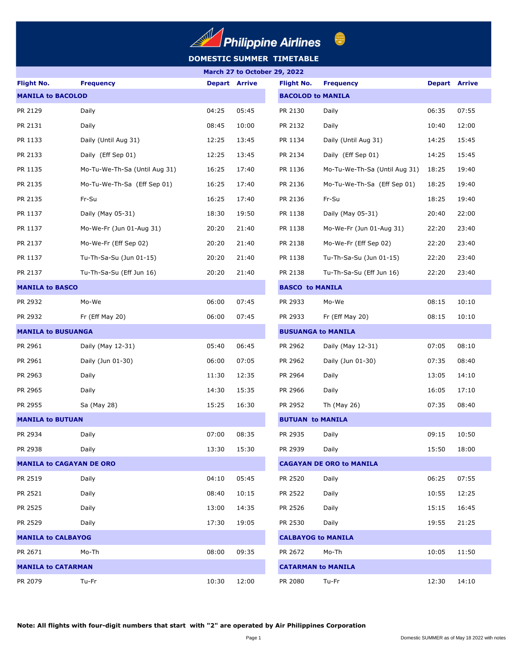

### **DOMESTIC SUMMER TIMETABLE**

| March 27 to October 29, 2022    |                               |                      |       |                           |                                                                                                                                                                                                                                                          |                      |       |  |  |
|---------------------------------|-------------------------------|----------------------|-------|---------------------------|----------------------------------------------------------------------------------------------------------------------------------------------------------------------------------------------------------------------------------------------------------|----------------------|-------|--|--|
| <b>Flight No.</b>               | <b>Frequency</b>              | <b>Depart Arrive</b> |       | <b>Flight No.</b>         | <b>Frequency</b>                                                                                                                                                                                                                                         | <b>Depart Arrive</b> |       |  |  |
| <b>MANILA to BACOLOD</b>        |                               |                      |       | <b>BACOLOD to MANILA</b>  |                                                                                                                                                                                                                                                          |                      |       |  |  |
| PR 2129                         | Daily                         | 04:25                | 05:45 | PR 2130                   | Daily                                                                                                                                                                                                                                                    | 06:35                | 07:55 |  |  |
| PR 2131                         | Daily                         | 08:45                | 10:00 | PR 2132                   | Daily                                                                                                                                                                                                                                                    | 10:40                | 12:00 |  |  |
| PR 1133                         | Daily (Until Aug 31)          | 12:25                | 13:45 | PR 1134                   | Daily (Until Aug 31)                                                                                                                                                                                                                                     | 14:25                | 15:45 |  |  |
| PR 2133                         | Daily (Eff Sep 01)            | 12:25                | 13:45 | PR 2134                   | Daily (Eff Sep 01)                                                                                                                                                                                                                                       | 14:25                | 15:45 |  |  |
| PR 1135                         | Mo-Tu-We-Th-Sa (Until Aug 31) | 16:25                | 17:40 | PR 1136                   | Mo-Tu-We-Th-Sa (Until Aug 31)                                                                                                                                                                                                                            | 18:25                | 19:40 |  |  |
| PR 2135                         | Mo-Tu-We-Th-Sa (Eff Sep 01)   | 16:25                | 17:40 | PR 2136                   | Mo-Tu-We-Th-Sa (Eff Sep 01)                                                                                                                                                                                                                              | 18:25                | 19:40 |  |  |
| PR 2135                         | Fr-Su                         | 16:25                | 17:40 | PR 2136                   | Fr-Su                                                                                                                                                                                                                                                    | 18:25                | 19:40 |  |  |
| PR 1137                         | Daily (May 05-31)             | 18:30                | 19:50 | PR 1138                   | Daily (May 05-31)                                                                                                                                                                                                                                        | 20:40                | 22:00 |  |  |
| PR 1137                         | Mo-We-Fr (Jun 01-Aug 31)      | 20:20                | 21:40 | PR 1138                   | Mo-We-Fr (Jun 01-Aug 31)                                                                                                                                                                                                                                 | 22:20                | 23:40 |  |  |
| PR 2137                         | Mo-We-Fr (Eff Sep 02)         | 20:20                | 21:40 | PR 2138                   | Mo-We-Fr (Eff Sep 02)                                                                                                                                                                                                                                    | 22:20                | 23:40 |  |  |
| PR 1137                         | Tu-Th-Sa-Su (Jun 01-15)       | 20:20                | 21:40 | PR 1138                   | Tu-Th-Sa-Su (Jun 01-15)                                                                                                                                                                                                                                  | 22:20                | 23:40 |  |  |
| PR 2137                         | Tu-Th-Sa-Su (Eff Jun 16)      | 20:20                | 21:40 | PR 2138                   | Tu-Th-Sa-Su (Eff Jun 16)                                                                                                                                                                                                                                 | 22:20                | 23:40 |  |  |
| <b>MANILA to BASCO</b>          |                               |                      |       |                           | 08:15<br>Mo-We<br>10:10<br>Fr (Eff May 20)<br>08:15<br>10:10<br>Daily (May 12-31)<br>07:05<br>08:10                                                                                                                                                      |                      |       |  |  |
| PR 2932                         | Mo-We                         | 06:00                | 07:45 | PR 2933                   |                                                                                                                                                                                                                                                          |                      |       |  |  |
| PR 2932                         | Fr (Eff May 20)               | 06:00                | 07:45 | PR 2933                   |                                                                                                                                                                                                                                                          |                      |       |  |  |
| <b>MANILA to BUSUANGA</b>       |                               |                      |       |                           |                                                                                                                                                                                                                                                          |                      |       |  |  |
| PR 2961                         | Daily (May 12-31)             | 05:40                | 06:45 | PR 2962                   |                                                                                                                                                                                                                                                          |                      |       |  |  |
| PR 2961                         | Daily (Jun 01-30)             | 06:00                | 07:05 | PR 2962                   | Daily (Jun 01-30)                                                                                                                                                                                                                                        | 07:35                | 08:40 |  |  |
| PR 2963                         | Daily                         | 11:30                | 12:35 | PR 2964                   | Daily                                                                                                                                                                                                                                                    | 13:05                | 14:10 |  |  |
| PR 2965                         | Daily                         | 14:30                | 15:35 | PR 2966                   | Daily                                                                                                                                                                                                                                                    | 16:05                | 17:10 |  |  |
| PR 2955                         | Sa (May 28)                   | 15:25                | 16:30 | PR 2952                   | Th (May 26)                                                                                                                                                                                                                                              | 07:35                | 08:40 |  |  |
| <b>MANILA to BUTUAN</b>         |                               |                      |       |                           | <b>BASCO to MANILA</b><br><b>BUSUANGA to MANILA</b><br><b>BUTUAN to MANILA</b><br>09:15<br>10:50<br>Daily<br>Daily<br>15:50<br>18:00<br><b>CAGAYAN DE ORO to MANILA</b><br>06:25<br>07:55<br>Daily<br>Daily<br>10:55<br>12:25<br>15:15<br>16:45<br>Daily |                      |       |  |  |
| PR 2934                         | Daily                         | 07:00                | 08:35 | PR 2935                   |                                                                                                                                                                                                                                                          |                      |       |  |  |
| PR 2938                         | Daily                         | 13:30                | 15:30 | PR 2939                   |                                                                                                                                                                                                                                                          |                      |       |  |  |
| <b>MANILA to CAGAYAN DE ORO</b> |                               |                      |       |                           |                                                                                                                                                                                                                                                          |                      |       |  |  |
| PR 2519                         | Daily                         | 04:10                | 05:45 | PR 2520                   |                                                                                                                                                                                                                                                          |                      |       |  |  |
| PR 2521                         | Daily                         | 08:40                | 10:15 | PR 2522                   |                                                                                                                                                                                                                                                          |                      |       |  |  |
| PR 2525                         | Daily                         | 13:00                | 14:35 | PR 2526                   |                                                                                                                                                                                                                                                          |                      |       |  |  |
| PR 2529                         | Daily                         | 17:30                | 19:05 | PR 2530                   | Daily                                                                                                                                                                                                                                                    | 19:55                | 21:25 |  |  |
| <b>MANILA to CALBAYOG</b>       |                               |                      |       | <b>CALBAYOG to MANILA</b> |                                                                                                                                                                                                                                                          |                      |       |  |  |
| PR 2671                         | Mo-Th                         | 08:00                | 09:35 | PR 2672                   | Mo-Th                                                                                                                                                                                                                                                    | 10:05                | 11:50 |  |  |
| <b>MANILA to CATARMAN</b>       |                               |                      |       | <b>CATARMAN to MANILA</b> |                                                                                                                                                                                                                                                          |                      |       |  |  |
| PR 2079                         | Tu-Fr                         | 10:30                | 12:00 | PR 2080                   | Tu-Fr                                                                                                                                                                                                                                                    | 12:30                | 14:10 |  |  |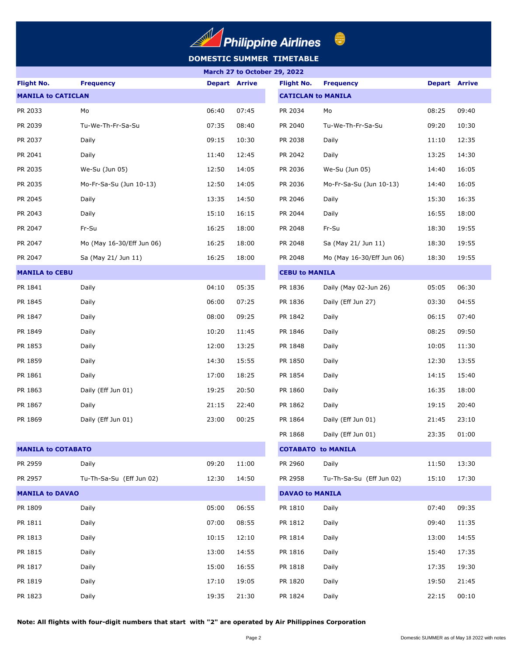

## **DOMESTIC SUMMER TIMETABLE**

| March 27 to October 29, 2022 |                           |                      |       |                           |                           |                      |       |
|------------------------------|---------------------------|----------------------|-------|---------------------------|---------------------------|----------------------|-------|
| <b>Flight No.</b>            | <b>Frequency</b>          | <b>Depart Arrive</b> |       | <b>Flight No.</b>         | <b>Frequency</b>          | <b>Depart Arrive</b> |       |
| <b>MANILA to CATICLAN</b>    |                           |                      |       | <b>CATICLAN to MANILA</b> |                           |                      |       |
| PR 2033                      | Mo                        | 06:40                | 07:45 | PR 2034                   | Mo                        | 08:25                | 09:40 |
| PR 2039                      | Tu-We-Th-Fr-Sa-Su         | 07:35                | 08:40 | PR 2040                   | Tu-We-Th-Fr-Sa-Su         | 09:20                | 10:30 |
| PR 2037                      | Daily                     | 09:15                | 10:30 | PR 2038                   | Daily                     | 11:10                | 12:35 |
| PR 2041                      | Daily                     | 11:40                | 12:45 | PR 2042                   | Daily                     | 13:25                | 14:30 |
| PR 2035                      | We-Su (Jun 05)            | 12:50                | 14:05 | PR 2036                   | We-Su (Jun 05)            | 14:40                | 16:05 |
| PR 2035                      | Mo-Fr-Sa-Su (Jun 10-13)   | 12:50                | 14:05 | PR 2036                   | Mo-Fr-Sa-Su (Jun 10-13)   | 14:40                | 16:05 |
| PR 2045                      | Daily                     | 13:35                | 14:50 | PR 2046                   | Daily                     | 15:30                | 16:35 |
| PR 2043                      | Daily                     | 15:10                | 16:15 | PR 2044                   | Daily                     | 16:55                | 18:00 |
| PR 2047                      | Fr-Su                     | 16:25                | 18:00 | PR 2048                   | Fr-Su                     | 18:30                | 19:55 |
| PR 2047                      | Mo (May 16-30/Eff Jun 06) | 16:25                | 18:00 | PR 2048                   | Sa (May 21/ Jun 11)       | 18:30                | 19:55 |
| PR 2047                      | Sa (May 21/ Jun 11)       | 16:25                | 18:00 | PR 2048                   | Mo (May 16-30/Eff Jun 06) | 18:30                | 19:55 |
| <b>MANILA to CEBU</b>        |                           |                      |       | <b>CEBU to MANILA</b>     |                           |                      |       |
| PR 1841                      | Daily                     | 04:10                | 05:35 | PR 1836                   | Daily (May 02-Jun 26)     | 05:05                | 06:30 |
| PR 1845                      | Daily                     | 06:00                | 07:25 | PR 1836                   | Daily (Eff Jun 27)        | 03:30                | 04:55 |
| PR 1847                      | Daily                     | 08:00                | 09:25 | PR 1842                   | Daily                     | 06:15                | 07:40 |
| PR 1849                      | Daily                     | 10:20                | 11:45 | PR 1846                   | Daily                     | 08:25                | 09:50 |
| PR 1853                      | Daily                     | 12:00                | 13:25 | PR 1848                   | Daily                     | 10:05                | 11:30 |
| PR 1859                      | Daily                     | 14:30                | 15:55 | PR 1850                   | Daily                     | 12:30                | 13:55 |
| PR 1861                      | Daily                     | 17:00                | 18:25 | PR 1854                   | Daily                     | 14:15                | 15:40 |
| PR 1863                      | Daily (Eff Jun 01)        | 19:25                | 20:50 | PR 1860                   | Daily                     | 16:35                | 18:00 |
| PR 1867                      | Daily                     | 21:15                | 22:40 | PR 1862                   | Daily                     | 19:15                | 20:40 |
| PR 1869                      | Daily (Eff Jun 01)        | 23:00                | 00:25 | PR 1864                   | Daily (Eff Jun 01)        | 21:45                | 23:10 |
|                              |                           |                      |       | PR 1868                   | Daily (Eff Jun 01)        | 23:35                | 01:00 |
| <b>MANILA to COTABATO</b>    |                           |                      |       | <b>COTABATO to MANILA</b> |                           |                      |       |
| PR 2959                      | Daily                     | 09:20                | 11:00 | PR 2960                   | Daily                     | 11:50                | 13:30 |
| PR 2957                      | Tu-Th-Sa-Su (Eff Jun 02)  | 12:30                | 14:50 | PR 2958                   | Tu-Th-Sa-Su (Eff Jun 02)  | 15:10                | 17:30 |
| <b>MANILA to DAVAO</b>       |                           |                      |       | <b>DAVAO to MANILA</b>    |                           |                      |       |
| PR 1809                      | Daily                     | 05:00                | 06:55 | PR 1810                   | Daily                     | 07:40                | 09:35 |
| PR 1811                      | Daily                     | 07:00                | 08:55 | PR 1812                   | Daily                     | 09:40                | 11:35 |
| PR 1813                      | Daily                     | 10:15                | 12:10 | PR 1814                   | Daily                     | 13:00                | 14:55 |
| PR 1815                      | Daily                     | 13:00                | 14:55 | PR 1816                   | Daily                     | 15:40                | 17:35 |
| PR 1817                      | Daily                     | 15:00                | 16:55 | PR 1818                   | Daily                     | 17:35                | 19:30 |
| PR 1819                      | Daily                     | 17:10                | 19:05 | PR 1820                   | Daily                     | 19:50                | 21:45 |
| PR 1823                      | Daily                     | 19:35                | 21:30 | PR 1824                   | Daily                     | 22:15                | 00:10 |

**Note: All flights with four-digit numbers that start with "2" are operated by Air Philippines Corporation**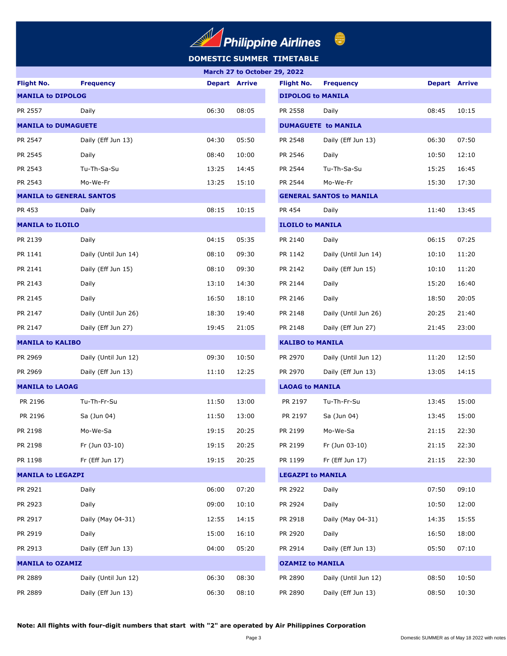

## **DOMESTIC SUMMER TIMETABLE**

|                                 |                      | March 27 to October 29, 2022 |       |                          |                                 |                      |       |  |
|---------------------------------|----------------------|------------------------------|-------|--------------------------|---------------------------------|----------------------|-------|--|
| <b>Flight No.</b>               | <b>Frequency</b>     | <b>Depart Arrive</b>         |       | <b>Flight No.</b>        | <b>Frequency</b>                | <b>Depart Arrive</b> |       |  |
| <b>MANILA to DIPOLOG</b>        |                      |                              |       | <b>DIPOLOG to MANILA</b> |                                 |                      |       |  |
| PR 2557                         | Daily                | 06:30                        | 08:05 | PR 2558                  | Daily                           | 08:45                | 10:15 |  |
| <b>MANILA to DUMAGUETE</b>      |                      |                              |       |                          | <b>DUMAGUETE to MANILA</b>      |                      |       |  |
| PR 2547                         | Daily (Eff Jun 13)   | 04:30                        | 05:50 | PR 2548                  | Daily (Eff Jun 13)              | 06:30                | 07:50 |  |
| PR 2545                         | Daily                | 08:40                        | 10:00 | PR 2546                  | Daily                           | 10:50                | 12:10 |  |
| PR 2543                         | Tu-Th-Sa-Su          | 13:25                        | 14:45 | PR 2544                  | Tu-Th-Sa-Su                     | 15:25                | 16:45 |  |
| PR 2543                         | Mo-We-Fr             | 13:25                        | 15:10 | PR 2544                  | Mo-We-Fr                        | 15:30                | 17:30 |  |
| <b>MANILA to GENERAL SANTOS</b> |                      |                              |       |                          | <b>GENERAL SANTOS to MANILA</b> |                      |       |  |
| PR 453                          | Daily                | 08:15                        | 10:15 | PR 454                   | Daily                           | 11:40                | 13:45 |  |
| <b>MANILA to ILOILO</b>         |                      |                              |       | <b>ILOILO to MANILA</b>  |                                 |                      |       |  |
| PR 2139                         | Daily                | 04:15                        | 05:35 | PR 2140                  | Daily                           | 06:15                | 07:25 |  |
| PR 1141                         | Daily (Until Jun 14) | 08:10                        | 09:30 | PR 1142                  | Daily (Until Jun 14)            | 10:10                | 11:20 |  |
| PR 2141                         | Daily (Eff Jun 15)   | 08:10                        | 09:30 | PR 2142                  | Daily (Eff Jun 15)              | 10:10                | 11:20 |  |
| PR 2143                         | Daily                | 13:10                        | 14:30 | PR 2144                  | Daily                           | 15:20                | 16:40 |  |
| PR 2145                         | Daily                | 16:50                        | 18:10 | PR 2146                  | Daily                           | 18:50                | 20:05 |  |
| PR 2147                         | Daily (Until Jun 26) | 18:30                        | 19:40 | PR 2148                  | Daily (Until Jun 26)            | 20:25                | 21:40 |  |
| PR 2147                         | Daily (Eff Jun 27)   | 19:45                        | 21:05 | PR 2148                  | Daily (Eff Jun 27)              | 21:45                | 23:00 |  |
| <b>MANILA to KALIBO</b>         |                      |                              |       | <b>KALIBO to MANILA</b>  |                                 |                      |       |  |
| PR 2969                         | Daily (Until Jun 12) | 09:30                        | 10:50 | PR 2970                  | Daily (Until Jun 12)            | 11:20                | 12:50 |  |
| PR 2969                         | Daily (Eff Jun 13)   | 11:10                        | 12:25 | PR 2970                  | Daily (Eff Jun 13)              | 13:05                | 14:15 |  |
| <b>MANILA to LAOAG</b>          |                      |                              |       | <b>LAOAG to MANILA</b>   |                                 |                      |       |  |
| PR 2196                         | Tu-Th-Fr-Su          | 11:50                        | 13:00 | PR 2197                  | Tu-Th-Fr-Su                     | 13:45                | 15:00 |  |
| PR 2196                         | Sa (Jun 04)          | 11:50                        | 13:00 | PR 2197                  | Sa (Jun 04)                     | 13:45                | 15:00 |  |
| PR 2198                         | Mo-We-Sa             | 19:15                        | 20:25 | PR 2199                  | Mo-We-Sa                        | 21:15                | 22:30 |  |
| PR 2198                         | Fr (Jun 03-10)       | 19:15                        | 20:25 | PR 2199                  | Fr (Jun 03-10)                  | 21:15                | 22:30 |  |
| PR 1198                         | Fr (Eff Jun 17)      | 19:15                        | 20:25 | PR 1199                  | Fr (Eff Jun 17)                 | 21:15                | 22:30 |  |
| <b>MANILA to LEGAZPI</b>        |                      |                              |       | <b>LEGAZPI to MANILA</b> |                                 |                      |       |  |
| PR 2921                         | Daily                | 06:00                        | 07:20 | PR 2922                  | Daily                           | 07:50                | 09:10 |  |
| PR 2923                         | Daily                | 09:00                        | 10:10 | PR 2924                  | Daily                           | 10:50                | 12:00 |  |
| PR 2917                         | Daily (May 04-31)    | 12:55                        | 14:15 | PR 2918                  | Daily (May 04-31)               | 14:35                | 15:55 |  |
| PR 2919                         | Daily                | 15:00                        | 16:10 | PR 2920                  | Daily                           | 16:50                | 18:00 |  |
| PR 2913                         | Daily (Eff Jun 13)   | 04:00                        | 05:20 | PR 2914                  | Daily (Eff Jun 13)              | 05:50                | 07:10 |  |
| <b>MANILA to OZAMIZ</b>         |                      |                              |       | <b>OZAMIZ to MANILA</b>  |                                 |                      |       |  |
| PR 2889                         | Daily (Until Jun 12) | 06:30                        | 08:30 | PR 2890                  | Daily (Until Jun 12)            | 08:50                | 10:50 |  |
| PR 2889                         | Daily (Eff Jun 13)   | 06:30                        | 08:10 | PR 2890                  | Daily (Eff Jun 13)              | 08:50                | 10:30 |  |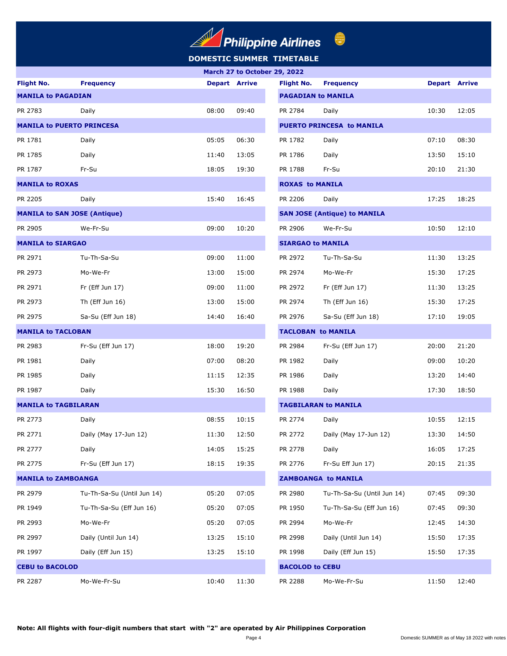# **DOMESTIC SUMMER TIMETABLE**  $\begin{picture}(20,20) \put(0,0){\line(1,0){155}} \put(15,0){\line(1,0){155}} \put(15,0){\line(1,0){155}} \put(15,0){\line(1,0){155}} \put(15,0){\line(1,0){155}} \put(15,0){\line(1,0){155}} \put(15,0){\line(1,0){155}} \put(15,0){\line(1,0){155}} \put(15,0){\line(1,0){155}} \put(15,0){\line(1,0){155}} \put(15,0){\line(1,0){155}} \$

|                                     | March 27 to October 29, 2022 |                      |                           |                           |                                     |                      |       |  |
|-------------------------------------|------------------------------|----------------------|---------------------------|---------------------------|-------------------------------------|----------------------|-------|--|
| <b>Flight No.</b>                   | <b>Frequency</b>             | <b>Depart Arrive</b> |                           | <b>Flight No.</b>         | <b>Frequency</b>                    | <b>Depart Arrive</b> |       |  |
|                                     | <b>MANILA to PAGADIAN</b>    |                      |                           | <b>PAGADIAN to MANILA</b> |                                     |                      |       |  |
| PR 2783                             | Daily                        | 08:00                | 09:40                     | PR 2784                   | Daily                               | 10:30                | 12:05 |  |
| <b>MANILA to PUERTO PRINCESA</b>    |                              |                      |                           |                           | <b>PUERTO PRINCESA to MANILA</b>    |                      |       |  |
| PR 1781                             | Daily                        | 05:05                | 06:30                     | PR 1782                   | Daily                               | 07:10                | 08:30 |  |
| PR 1785                             | Daily                        | 11:40                | 13:05                     | PR 1786                   | Daily                               | 13:50                | 15:10 |  |
| PR 1787                             | Fr-Su                        | 18:05                | 19:30                     | PR 1788                   | Fr-Su                               | 20:10                | 21:30 |  |
| <b>MANILA to ROXAS</b>              |                              |                      |                           | <b>ROXAS to MANILA</b>    |                                     |                      |       |  |
| PR 2205                             | Daily                        | 15:40                | 16:45                     | PR 2206                   | Daily                               | 17:25                | 18:25 |  |
| <b>MANILA to SAN JOSE (Antique)</b> |                              |                      |                           |                           | <b>SAN JOSE (Antique) to MANILA</b> |                      |       |  |
| PR 2905                             | We-Fr-Su                     | 09:00                | 10:20                     | PR 2906                   | We-Fr-Su                            | 10:50                | 12:10 |  |
| <b>MANILA to SIARGAO</b>            |                              |                      |                           | <b>SIARGAO to MANILA</b>  |                                     |                      |       |  |
| PR 2971                             | Tu-Th-Sa-Su                  | 09:00                | 11:00                     | PR 2972                   | Tu-Th-Sa-Su                         | 11:30                | 13:25 |  |
| PR 2973                             | Mo-We-Fr                     | 13:00                | 15:00                     | PR 2974                   | Mo-We-Fr                            | 15:30                | 17:25 |  |
| PR 2971                             | Fr (Eff Jun 17)              | 09:00                | 11:00                     | PR 2972                   | Fr (Eff Jun 17)                     | 11:30                | 13:25 |  |
| PR 2973                             | Th (Eff Jun 16)              | 13:00                | 15:00                     | PR 2974                   | Th (Eff Jun 16)                     | 15:30                | 17:25 |  |
| PR 2975                             | Sa-Su (Eff Jun 18)           | 14:40                | 16:40                     | PR 2976                   | Sa-Su (Eff Jun 18)                  | 17:10                | 19:05 |  |
| <b>MANILA to TACLOBAN</b>           |                              |                      | <b>TACLOBAN to MANILA</b> |                           |                                     |                      |       |  |
| PR 2983                             | Fr-Su (Eff Jun 17)           | 18:00                | 19:20                     | PR 2984                   | Fr-Su (Eff Jun 17)                  | 20:00                | 21:20 |  |
| PR 1981                             | Daily                        | 07:00                | 08:20                     | PR 1982                   | Daily                               | 09:00                | 10:20 |  |
| PR 1985                             | Daily                        | 11:15                | 12:35                     | PR 1986                   | Daily                               | 13:20                | 14:40 |  |
| PR 1987                             | Daily                        | 15:30                | 16:50                     | PR 1988                   | Daily                               | 17:30                | 18:50 |  |
| <b>MANILA to TAGBILARAN</b>         |                              |                      |                           |                           | <b>TAGBILARAN to MANILA</b>         |                      |       |  |
| PR 2773                             | Daily                        | 08:55                | 10:15                     | PR 2774                   | Daily                               | 10:55                | 12:15 |  |
| PR 2771                             | Daily (May 17-Jun 12)        | 11:30                | 12:50                     | PR 2772                   | Daily (May 17-Jun 12)               | 13:30                | 14:50 |  |
| PR 2777                             | Daily                        | 14:05                | 15:25                     | PR 2778                   | Daily                               | 16:05                | 17:25 |  |
| PR 2775                             | Fr-Su (Eff Jun 17)           | 18:15                | 19:35                     | PR 2776                   | Fr-Su Eff Jun 17)                   | 20:15                | 21:35 |  |
| <b>MANILA to ZAMBOANGA</b>          |                              |                      |                           |                           | <b>ZAMBOANGA to MANILA</b>          |                      |       |  |
| PR 2979                             | Tu-Th-Sa-Su (Until Jun 14)   | 05:20                | 07:05                     | PR 2980                   | Tu-Th-Sa-Su (Until Jun 14)          | 07:45                | 09:30 |  |
| PR 1949                             | Tu-Th-Sa-Su (Eff Jun 16)     | 05:20                | 07:05                     | PR 1950                   | Tu-Th-Sa-Su (Eff Jun 16)            | 07:45                | 09:30 |  |
| PR 2993                             | Mo-We-Fr                     | 05:20                | 07:05                     | PR 2994                   | Mo-We-Fr                            | 12:45                | 14:30 |  |
| PR 2997                             | Daily (Until Jun 14)         | 13:25                | 15:10                     | PR 2998                   | Daily (Until Jun 14)                | 15:50                | 17:35 |  |
| PR 1997                             | Daily (Eff Jun 15)           | 13:25                | 15:10                     | PR 1998                   | Daily (Eff Jun 15)                  | 15:50                | 17:35 |  |
| <b>CEBU to BACOLOD</b>              |                              |                      | <b>BACOLOD to CEBU</b>    |                           |                                     |                      |       |  |
| PR 2287                             | Mo-We-Fr-Su                  | 10:40                | 11:30                     | PR 2288                   | Mo-We-Fr-Su                         | 11:50                | 12:40 |  |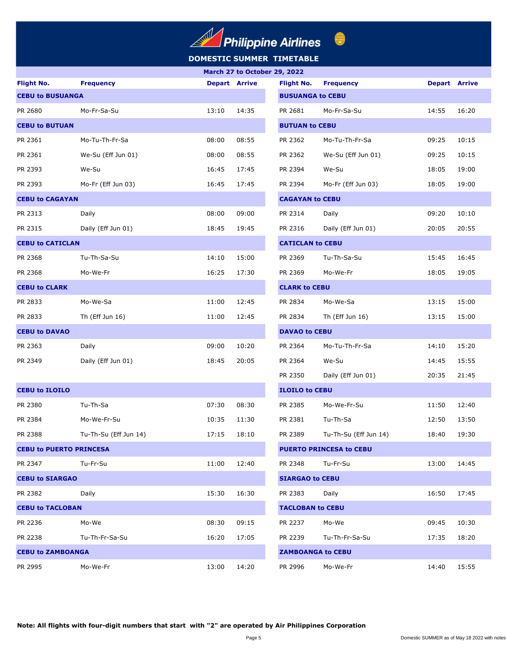# **Philippine Airlines**

# **DOMESTIC SUMMER TIMETABLE**

| <b>Flight No.</b>              | <b>Frequency</b>      | <b>Depart Arrive</b> |       | <b>Flight No.</b>        | <b>Frequency</b>               | <b>Depart Arrive</b> |       |
|--------------------------------|-----------------------|----------------------|-------|--------------------------|--------------------------------|----------------------|-------|
| <b>CEBU to BUSUANGA</b>        |                       |                      |       | <b>BUSUANGA to CEBU</b>  |                                |                      |       |
| PR 2680                        | Mo-Fr-Sa-Su           | 13:10                | 14:35 | PR 2681                  | Mo-Fr-Sa-Su                    | 14:55                | 16:20 |
| <b>CEBU to BUTUAN</b>          |                       |                      |       | <b>BUTUAN to CEBU</b>    |                                |                      |       |
| PR 2361                        | Mo-Tu-Th-Fr-Sa        | 08:00                | 08:55 | PR 2362                  | Mo-Tu-Th-Fr-Sa                 | 09:25                | 10:15 |
| PR 2361                        | We-Su (Eff Jun 01)    | 08:00                | 08:55 | PR 2362                  | We-Su (Eff Jun 01)             | 09:25                | 10:15 |
| PR 2393                        | We-Su                 | 16:45                | 17:45 | PR 2394                  | We-Su                          | 18:05                | 19:00 |
| PR 2393                        | Mo-Fr (Eff Jun 03)    | 16:45                | 17:45 | PR 2394                  | Mo-Fr (Eff Jun 03)             | 18:05                | 19:00 |
| <b>CEBU to CAGAYAN</b>         |                       |                      |       | <b>CAGAYAN to CEBU</b>   |                                |                      |       |
| PR 2313                        | Daily                 | 08:00                | 09:00 | PR 2314                  | Daily                          | 09:20                | 10:10 |
| PR 2315                        | Daily (Eff Jun 01)    | 18:45                | 19:45 | PR 2316                  | Daily (Eff Jun 01)             | 20:05                | 20:55 |
| <b>CEBU to CATICLAN</b>        |                       |                      |       | <b>CATICLAN to CEBU</b>  |                                |                      |       |
| PR 2368                        | Tu-Th-Sa-Su           | 14:10                | 15:00 | PR 2369                  | Tu-Th-Sa-Su                    | 15:45                | 16:45 |
| PR 2368                        | Mo-We-Fr              | 16:25                | 17:30 | PR 2369                  | Mo-We-Fr                       | 18:05                | 19:05 |
| <b>CEBU to CLARK</b>           |                       |                      |       | <b>CLARK to CEBU</b>     |                                |                      |       |
| PR 2833                        | Mo-We-Sa              | 11:00                | 12:45 | PR 2834                  | Mo-We-Sa                       | 13:15                | 15:00 |
| PR 2833                        | Th (Eff Jun 16)       | 11:00                | 12:45 | PR 2834                  | Th (Eff Jun 16)                | 13:15                | 15:00 |
| <b>CEBU to DAVAO</b>           |                       |                      |       | <b>DAVAO to CEBU</b>     |                                |                      |       |
| PR 2363                        | Daily                 | 09:00                | 10:20 | PR 2364                  | Mo-Tu-Th-Fr-Sa                 | 14:10                | 15:20 |
| PR 2349                        | Daily (Eff Jun 01)    | 18:45                | 20:05 | PR 2364                  | We-Su                          | 14:45                | 15:55 |
|                                |                       |                      |       | PR 2350                  | Daily (Eff Jun 01)             | 20:35                | 21:45 |
| <b>CEBU to ILOILO</b>          |                       |                      |       | <b>ILOILO to CEBU</b>    |                                |                      |       |
| PR 2380                        | Tu-Th-Sa              | 07:30                | 08:30 | PR 2385                  | Mo-We-Fr-Su                    | 11:50                | 12:40 |
| PR 2384                        | Mo-We-Fr-Su           | 10:35                | 11:30 | PR 2381                  | Tu-Th-Sa                       | 12:50                | 13:50 |
| PR 2388                        | Tu-Th-Su (Eff Jun 14) | 17:15                | 18:10 | PR 2389                  | Tu-Th-Su (Eff Jun 14)          | 18:40                | 19:30 |
| <b>CEBU to PUERTO PRINCESA</b> |                       |                      |       |                          | <b>PUERTO PRINCESA to CEBU</b> |                      |       |
| PR 2347                        | Tu-Fr-Su              | 11:00                | 12:40 | PR 2348                  | Tu-Fr-Su                       | 13:00                | 14:45 |
| <b>CEBU to SIARGAO</b>         |                       |                      |       | <b>SIARGAO to CEBU</b>   |                                |                      |       |
| PR 2382                        | Daily                 | 15:30                | 16:30 | PR 2383                  | Daily                          | 16:50                | 17:45 |
| <b>CEBU to TACLOBAN</b>        |                       |                      |       | <b>TACLOBAN to CEBU</b>  |                                |                      |       |
| PR 2236                        | Mo-We                 | 08:30                | 09:15 | PR 2237                  | Mo-We                          | 09:45                | 10:30 |
| PR 2238                        | Tu-Th-Fr-Sa-Su        | 16:20                | 17:05 | PR 2239                  | Tu-Th-Fr-Sa-Su                 | 17:35                | 18:20 |
| <b>CEBU to ZAMBOANGA</b>       |                       |                      |       | <b>ZAMBOANGA to CEBU</b> |                                |                      |       |
| PR 2995                        | Mo-We-Fr              | 13:00                | 14:20 | PR 2996                  | Mo-We-Fr                       | 14:40                | 15:55 |